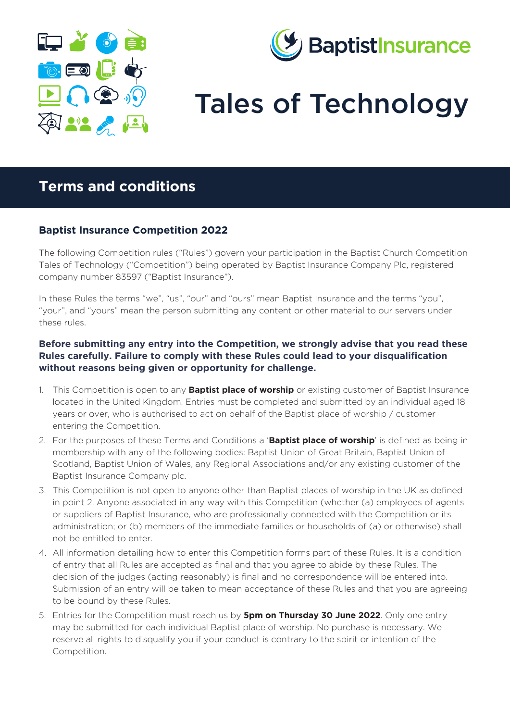



# Tales of Technology

# **Terms and conditions**

## **Baptist Insurance Competition 2022**

The following Competition rules ("Rules") govern your participation in the Baptist Church Competition Tales of Technology ("Competition") being operated by Baptist Insurance Company Plc, registered company number 83597 ("Baptist Insurance").

In these Rules the terms "we", "us", "our" and "ours" mean Baptist Insurance and the terms "you", "your", and "yours" mean the person submitting any content or other material to our servers under these rules.

### **Before submitting any entry into the Competition, we strongly advise that you read these Rules carefully. Failure to comply with these Rules could lead to your disqualification without reasons being given or opportunity for challenge.**

- 1. This Competition is open to any **Baptist place of worship** or existing customer of Baptist Insurance located in the United Kingdom. Entries must be completed and submitted by an individual aged 18 years or over, who is authorised to act on behalf of the Baptist place of worship / customer entering the Competition.
- 2. For the purposes of these Terms and Conditions a '**Baptist place of worship**' is defined as being in membership with any of the following bodies: Baptist Union of Great Britain, Baptist Union of Scotland, Baptist Union of Wales, any Regional Associations and/or any existing customer of the Baptist Insurance Company plc.
- 3. This Competition is not open to anyone other than Baptist places of worship in the UK as defined in point 2. Anyone associated in any way with this Competition (whether (a) employees of agents or suppliers of Baptist Insurance, who are professionally connected with the Competition or its administration; or (b) members of the immediate families or households of (a) or otherwise) shall not be entitled to enter.
- 4. All information detailing how to enter this Competition forms part of these Rules. It is a condition of entry that all Rules are accepted as final and that you agree to abide by these Rules. The decision of the judges (acting reasonably) is final and no correspondence will be entered into. Submission of an entry will be taken to mean acceptance of these Rules and that you are agreeing to be bound by these Rules.
- 5. Entries for the Competition must reach us by **5pm on Thursday 30 June 2022**. Only one entry may be submitted for each individual Baptist place of worship. No purchase is necessary. We reserve all rights to disqualify you if your conduct is contrary to the spirit or intention of the Competition.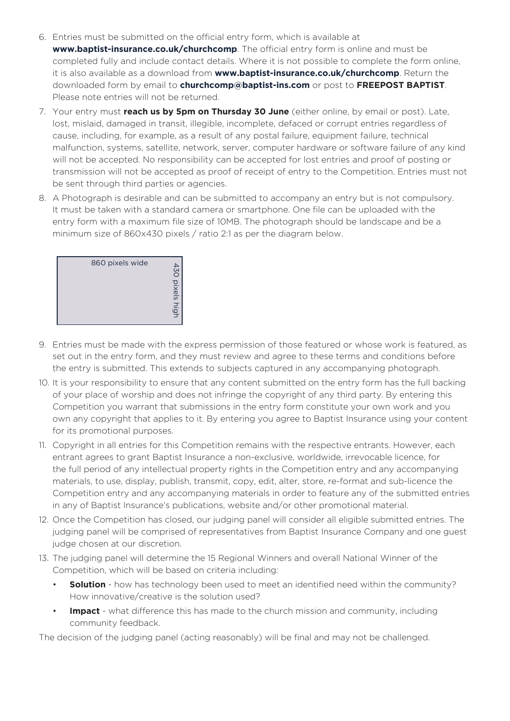- 6. Entries must be submitted on the official entry form, which is available at **www.baptist-insurance.co.uk/churchcomp**. The official entry form is online and must be completed fully and include contact details. Where it is not possible to complete the form online, it is also available as a download from **www.baptist-insurance.co.uk/churchcomp**. Return the downloaded form by email to **churchcomp@baptist-ins.com** or post to **FREEPOST BAPTIST**. Please note entries will not be returned.
- 7. Your entry must **reach us by 5pm on Thursday 30 June** (either online, by email or post). Late, lost, mislaid, damaged in transit, illegible, incomplete, defaced or corrupt entries regardless of cause, including, for example, as a result of any postal failure, equipment failure, technical malfunction, systems, satellite, network, server, computer hardware or software failure of any kind will not be accepted. No responsibility can be accepted for lost entries and proof of posting or transmission will not be accepted as proof of receipt of entry to the Competition. Entries must not be sent through third parties or agencies.
- 8. A Photograph is desirable and can be submitted to accompany an entry but is not compulsory. It must be taken with a standard camera or smartphone. One file can be uploaded with the entry form with a maximum file size of 10MB. The photograph should be landscape and be a minimum size of 860x430 pixels / ratio 2:1 as per the diagram below.

- 9. Entries must be made with the express permission of those featured or whose work is featured, as set out in the entry form, and they must review and agree to these terms and conditions before the entry is submitted. This extends to subjects captured in any accompanying photograph.
- 10. It is your responsibility to ensure that any content submitted on the entry form has the full backing of your place of worship and does not infringe the copyright of any third party. By entering this Competition you warrant that submissions in the entry form constitute your own work and you own any copyright that applies to it. By entering you agree to Baptist Insurance using your content for its promotional purposes.
- 11. Copyright in all entries for this Competition remains with the respective entrants. However, each entrant agrees to grant Baptist Insurance a non-exclusive, worldwide, irrevocable licence, for the full period of any intellectual property rights in the Competition entry and any accompanying materials, to use, display, publish, transmit, copy, edit, alter, store, re-format and sub-licence the Competition entry and any accompanying materials in order to feature any of the submitted entries in any of Baptist Insurance's publications, website and/or other promotional material.
- 12. Once the Competition has closed, our judging panel will consider all eligible submitted entries. The judging panel will be comprised of representatives from Baptist Insurance Company and one guest judge chosen at our discretion.
- 13. The judging panel will determine the 15 Regional Winners and overall National Winner of the Competition, which will be based on criteria including:
	- **Solution** how has technology been used to meet an identified need within the community? How innovative/creative is the solution used?
	- **Impact** what difference this has made to the church mission and community, including community feedback.

The decision of the judging panel (acting reasonably) will be final and may not be challenged.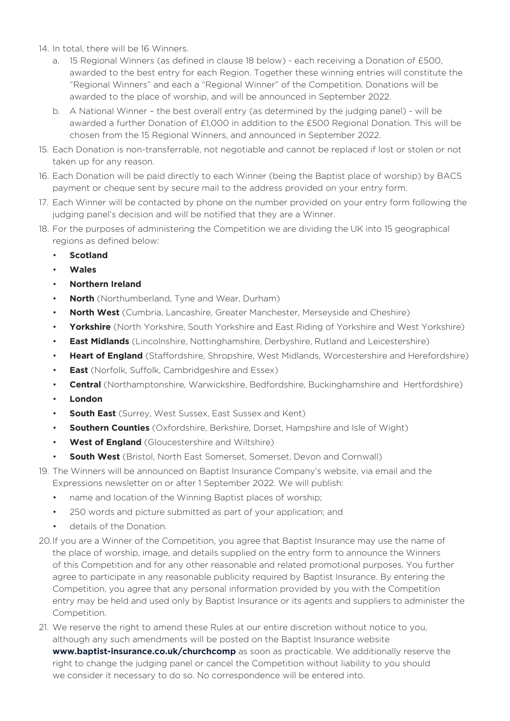- 14. In total, there will be 16 Winners.
	- a. 15 Regional Winners (as defined in clause 18 below) each receiving a Donation of £500, awarded to the best entry for each Region. Together these winning entries will constitute the "Regional Winners" and each a "Regional Winner" of the Competition. Donations will be awarded to the place of worship, and will be announced in September 2022.
	- b. A National Winner the best overall entry (as determined by the judging panel) will be awarded a further Donation of £1,000 in addition to the £500 Regional Donation. This will be chosen from the 15 Regional Winners, and announced in September 2022.
- 15. Each Donation is non-transferrable, not negotiable and cannot be replaced if lost or stolen or not taken up for any reason.
- 16. Each Donation will be paid directly to each Winner (being the Baptist place of worship) by BACS payment or cheque sent by secure mail to the address provided on your entry form.
- 17. Each Winner will be contacted by phone on the number provided on your entry form following the judging panel's decision and will be notified that they are a Winner.
- 18. For the purposes of administering the Competition we are dividing the UK into 15 geographical regions as defined below:
	- **Scotland**
	- **Wales**
	- **Northern Ireland**
	- **North** (Northumberland, Tyne and Wear, Durham)
	- **North West** (Cumbria, Lancashire, Greater Manchester, Merseyside and Cheshire)
	- **Yorkshire** (North Yorkshire, South Yorkshire and East Riding of Yorkshire and West Yorkshire)
	- **East Midlands** (Lincolnshire, Nottinghamshire, Derbyshire, Rutland and Leicestershire)
	- **Heart of England** (Staffordshire, Shropshire, West Midlands, Worcestershire and Herefordshire)
	- **East** (Norfolk, Suffolk, Cambridgeshire and Essex)
	- **Central** (Northamptonshire, Warwickshire, Bedfordshire, Buckinghamshire and Hertfordshire)
	- **London**
	- **South East** (Surrey, West Sussex, East Sussex and Kent)
	- **Southern Counties** (Oxfordshire, Berkshire, Dorset, Hampshire and Isle of Wight)
	- **West of England** (Gloucestershire and Wiltshire)
	- **South West** (Bristol, North East Somerset, Somerset, Devon and Cornwall)
- 19. The Winners will be announced on Baptist Insurance Company's website, via email and the Expressions newsletter on or after 1 September 2022. We will publish:
	- name and location of the Winning Baptist places of worship;
	- 250 words and picture submitted as part of your application; and
	- details of the Donation.
- 20.If you are a Winner of the Competition, you agree that Baptist Insurance may use the name of the place of worship, image, and details supplied on the entry form to announce the Winners of this Competition and for any other reasonable and related promotional purposes. You further agree to participate in any reasonable publicity required by Baptist Insurance. By entering the Competition, you agree that any personal information provided by you with the Competition entry may be held and used only by Baptist Insurance or its agents and suppliers to administer the Competition.
- 21. We reserve the right to amend these Rules at our entire discretion without notice to you, although any such amendments will be posted on the Baptist Insurance website **www.baptist-insurance.co.uk/churchcomp** as soon as practicable. We additionally reserve the right to change the judging panel or cancel the Competition without liability to you should we consider it necessary to do so. No correspondence will be entered into.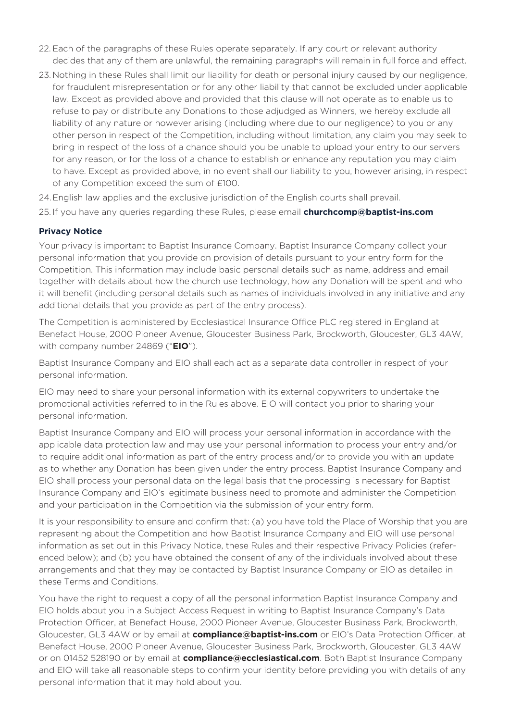- 22. Each of the paragraphs of these Rules operate separately. If any court or relevant authority decides that any of them are unlawful, the remaining paragraphs will remain in full force and effect.
- 23. Nothing in these Rules shall limit our liability for death or personal injury caused by our negligence, for fraudulent misrepresentation or for any other liability that cannot be excluded under applicable law. Except as provided above and provided that this clause will not operate as to enable us to refuse to pay or distribute any Donations to those adjudged as Winners, we hereby exclude all liability of any nature or however arising (including where due to our negligence) to you or any other person in respect of the Competition, including without limitation, any claim you may seek to bring in respect of the loss of a chance should you be unable to upload your entry to our servers for any reason, or for the loss of a chance to establish or enhance any reputation you may claim to have. Except as provided above, in no event shall our liability to you, however arising, in respect of any Competition exceed the sum of £100.

24.English law applies and the exclusive jurisdiction of the English courts shall prevail.

25. If you have any queries regarding these Rules, please email **churchcomp@baptist-ins.com**

#### **Privacy Notice**

Your privacy is important to Baptist Insurance Company. Baptist Insurance Company collect your personal information that you provide on provision of details pursuant to your entry form for the Competition. This information may include basic personal details such as name, address and email together with details about how the church use technology, how any Donation will be spent and who it will benefit (including personal details such as names of individuals involved in any initiative and any additional details that you provide as part of the entry process).

The Competition is administered by Ecclesiastical Insurance Office PLC registered in England at Benefact House, 2000 Pioneer Avenue, Gloucester Business Park, Brockworth, Gloucester, GL3 4AW, with company number 24869 ("**EIO**").

Baptist Insurance Company and EIO shall each act as a separate data controller in respect of your personal information.

EIO may need to share your personal information with its external copywriters to undertake the promotional activities referred to in the Rules above. EIO will contact you prior to sharing your personal information.

Baptist Insurance Company and EIO will process your personal information in accordance with the applicable data protection law and may use your personal information to process your entry and/or to require additional information as part of the entry process and/or to provide you with an update as to whether any Donation has been given under the entry process. Baptist Insurance Company and EIO shall process your personal data on the legal basis that the processing is necessary for Baptist Insurance Company and EIO's legitimate business need to promote and administer the Competition and your participation in the Competition via the submission of your entry form.

It is your responsibility to ensure and confirm that: (a) you have told the Place of Worship that you are representing about the Competition and how Baptist Insurance Company and EIO will use personal information as set out in this Privacy Notice, these Rules and their respective Privacy Policies (referenced below); and (b) you have obtained the consent of any of the individuals involved about these arrangements and that they may be contacted by Baptist Insurance Company or EIO as detailed in these Terms and Conditions.

You have the right to request a copy of all the personal information Baptist Insurance Company and EIO holds about you in a Subject Access Request in writing to Baptist Insurance Company's Data Protection Officer, at Benefact House, 2000 Pioneer Avenue, Gloucester Business Park, Brockworth, Gloucester, GL3 4AW or by email at **compliance@baptist-ins.com** or EIO's Data Protection Officer, at Benefact House, 2000 Pioneer Avenue, Gloucester Business Park, Brockworth, Gloucester, GL3 4AW or on 01452 528190 or by email at **compliance@ecclesiastical.com**. Both Baptist Insurance Company and EIO will take all reasonable steps to confirm your identity before providing you with details of any personal information that it may hold about you.